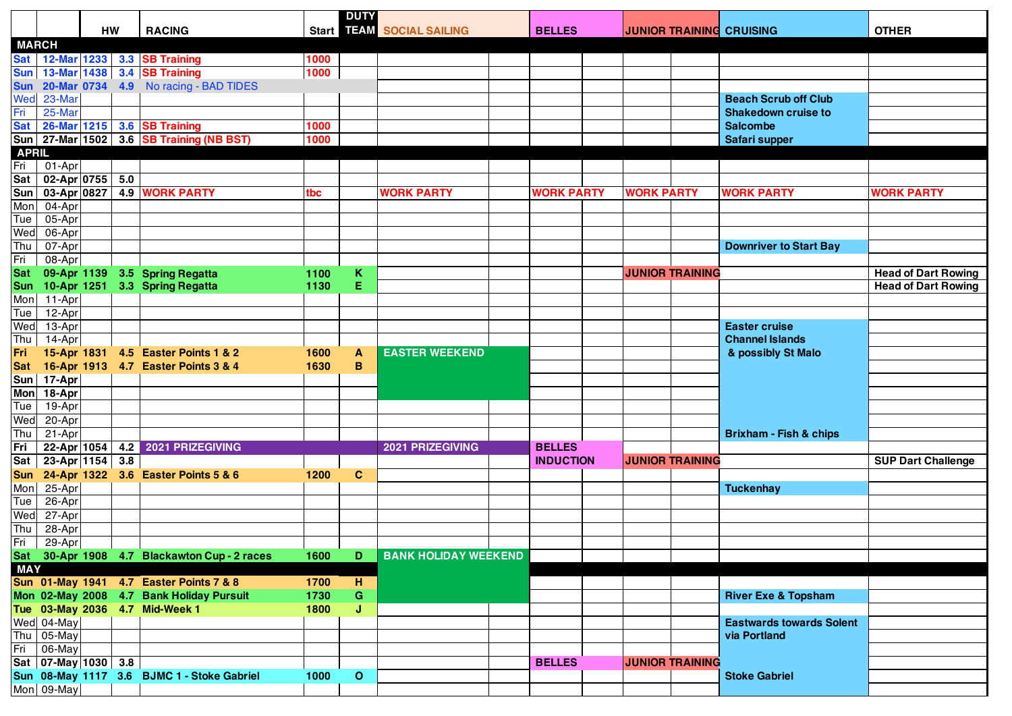|              |                      |    |                                              |      | <b>DUTY</b>  |                             |  |                   |  |                   |                        |                                   |                            |
|--------------|----------------------|----|----------------------------------------------|------|--------------|-----------------------------|--|-------------------|--|-------------------|------------------------|-----------------------------------|----------------------------|
|              |                      | HW | <b>RACING</b>                                |      |              | Start 117 M SOCIAL SAILING  |  | <b>BELLES</b>     |  |                   |                        | <b>JUNIOR TRAINING CRUISING</b>   | <b>OTHER</b>               |
| <b>MARCH</b> |                      |    |                                              |      |              |                             |  |                   |  |                   |                        |                                   |                            |
|              | Sat 12-Mar 1233      |    | 3.3 SB Training                              | 1000 |              |                             |  |                   |  |                   |                        |                                   |                            |
|              |                      |    | Sun   13-Mar 1438   3.4 SB Training          | 1000 |              |                             |  |                   |  |                   |                        |                                   |                            |
| <b>Sun</b>   |                      |    | 20-Mar 0734 4.9 No racing - BAD TIDES        |      |              |                             |  |                   |  |                   |                        |                                   |                            |
| Wed          | 23-Mar               |    |                                              |      |              |                             |  |                   |  |                   |                        | <b>Beach Scrub off Club</b>       |                            |
| Fri          | 25-Mar               |    |                                              |      |              |                             |  |                   |  |                   |                        | <b>Shakedown cruise to</b>        |                            |
| <b>Sat</b>   |                      |    | 26-Mar 1215 3.6 SB Training                  | 1000 |              |                             |  |                   |  |                   |                        | <b>Salcombe</b>                   |                            |
|              |                      |    | Sun   27-Mar 1502   3.6 SB Training (NB BST) | 1000 |              |                             |  |                   |  |                   |                        | Safari supper                     |                            |
| <b>APRIL</b> |                      |    |                                              |      |              |                             |  |                   |  |                   |                        |                                   |                            |
| Fri          | 01-Apr               |    |                                              |      |              |                             |  |                   |  |                   |                        |                                   |                            |
| Sat          | 02-Apr 0755 5.0      |    |                                              |      |              |                             |  |                   |  |                   |                        |                                   |                            |
| Sun          | 03-Apr 0827          |    | <b>4.9 WORK PARTY</b>                        | tbc  |              | <b>WORK PARTY</b>           |  | <b>WORK PARTY</b> |  | <b>WORK PARTY</b> |                        | <b>WORK PARTY</b>                 | <b>WORK PARTY</b>          |
| Mon          | 04-Apr               |    |                                              |      |              |                             |  |                   |  |                   |                        |                                   |                            |
| Tue          | 05-Apr               |    |                                              |      |              |                             |  |                   |  |                   |                        |                                   |                            |
| Wed          | $06-Apr$             |    |                                              |      |              |                             |  |                   |  |                   |                        |                                   |                            |
| Thu          | 07-Apr               |    |                                              |      |              |                             |  |                   |  |                   |                        | <b>Downriver to Start Bay</b>     |                            |
| Fri          | $08-Apr$             |    |                                              |      |              |                             |  |                   |  |                   |                        |                                   |                            |
| <b>Sat</b>   |                      |    | 09-Apr 1139 3.5 Spring Regatta               | 1100 | K            |                             |  |                   |  |                   | <b>JUNIOR TRAINING</b> |                                   | <b>Head of Dart Rowing</b> |
| <b>Sun</b>   |                      |    | 10-Apr 1251 3.3 Spring Regatta               | 1130 | E            |                             |  |                   |  |                   |                        |                                   | <b>Head of Dart Rowing</b> |
| Mon          | 11-Apr               |    |                                              |      |              |                             |  |                   |  |                   |                        |                                   |                            |
| Tue          | 12-Apr               |    |                                              |      |              |                             |  |                   |  |                   |                        |                                   |                            |
| Wed          | 13-Apr               |    |                                              |      |              |                             |  |                   |  |                   |                        | <b>Easter cruise</b>              |                            |
| Thu          | 14-Apr               |    |                                              |      |              |                             |  |                   |  |                   |                        | <b>Channel Islands</b>            |                            |
| Fri          |                      |    | 15-Apr 1831 4.5 Easter Points 1 & 2          | 1600 | A            | <b>EASTER WEEKEND</b>       |  |                   |  |                   |                        | & possibly St Malo                |                            |
| <b>Sat</b>   |                      |    | 16-Apr 1913 4.7 Easter Points 3 & 4          | 1630 | B            |                             |  |                   |  |                   |                        |                                   |                            |
| Sum          | 17-Apr               |    |                                              |      |              |                             |  |                   |  |                   |                        |                                   |                            |
| <b>Mon</b>   | 18-Apr               |    |                                              |      |              |                             |  |                   |  |                   |                        |                                   |                            |
| Tue          | 19-Apr               |    |                                              |      |              |                             |  |                   |  |                   |                        |                                   |                            |
| Wed          | 20-Apr               |    |                                              |      |              |                             |  |                   |  |                   |                        |                                   |                            |
| Thu          | 21-Apr               |    |                                              |      |              |                             |  |                   |  |                   |                        | <b>Brixham - Fish &amp; chips</b> |                            |
| Fri          | 22-Apr 1054          |    | 4.2 2021 PRIZEGIVING                         |      |              | 2021 PRIZEGIVING            |  | <b>BELLES</b>     |  |                   |                        |                                   |                            |
| Sat          | 23-Apr 1154 3.8      |    |                                              |      |              |                             |  | <b>INDUCTION</b>  |  |                   | <b>JUNIOR TRAINING</b> |                                   | <b>SUP Dart Challenge</b>  |
| <b>Sun</b>   |                      |    | 24-Apr 1322 3.6 Easter Points 5 & 6          | 1200 | C            |                             |  |                   |  |                   |                        |                                   |                            |
| Mon          | 25-Apr               |    |                                              |      |              |                             |  |                   |  |                   |                        | <b>Tuckenhay</b>                  |                            |
| Tue          | $26 - Apr$           |    |                                              |      |              |                             |  |                   |  |                   |                        |                                   |                            |
| Wed          | $\overline{27}$ -Apr |    |                                              |      |              |                             |  |                   |  |                   |                        |                                   |                            |
| Thu          | 28-Apr               |    |                                              |      |              |                             |  |                   |  |                   |                        |                                   |                            |
| Fri          | 29-Apr               |    |                                              |      |              |                             |  |                   |  |                   |                        |                                   |                            |
|              |                      |    | Sat 30-Apr 1908 4.7 Blackawton Cup - 2 races | 1600 | D            | <b>BANK HOLIDAY WEEKEND</b> |  |                   |  |                   |                        |                                   |                            |
| <b>MAY</b>   |                      |    |                                              |      |              |                             |  |                   |  |                   |                        |                                   |                            |
|              |                      |    | Sun 01-May 1941 4.7 Easter Points 7 & 8      | 1700 | H            |                             |  |                   |  |                   |                        |                                   |                            |
|              |                      |    | Mon 02-May 2008 4.7 Bank Holiday Pursuit     | 1730 | G            |                             |  |                   |  |                   |                        | <b>River Exe &amp; Topsham</b>    |                            |
|              |                      |    | Tue 03-May 2036 4.7 Mid-Week 1               | 1800 | J            |                             |  |                   |  |                   |                        |                                   |                            |
|              | Wed 04-May           |    |                                              |      |              |                             |  |                   |  |                   |                        | <b>Eastwards towards Solent</b>   |                            |
|              | Thu 05-May           |    |                                              |      |              |                             |  |                   |  |                   |                        | via Portland                      |                            |
|              | Fri 06-May           |    |                                              |      |              |                             |  |                   |  |                   |                        |                                   |                            |
|              | Sat 07-May 1030 3.8  |    |                                              |      |              |                             |  | <b>BELLES</b>     |  |                   | <b>JUNIOR TRAINING</b> |                                   |                            |
|              |                      |    | Sun 08-May 1117 3.6 BJMC 1 - Stoke Gabriel   | 1000 | $\mathbf{o}$ |                             |  |                   |  |                   |                        | <b>Stoke Gabriel</b>              |                            |
|              | Mon 09-May           |    |                                              |      |              |                             |  |                   |  |                   |                        |                                   |                            |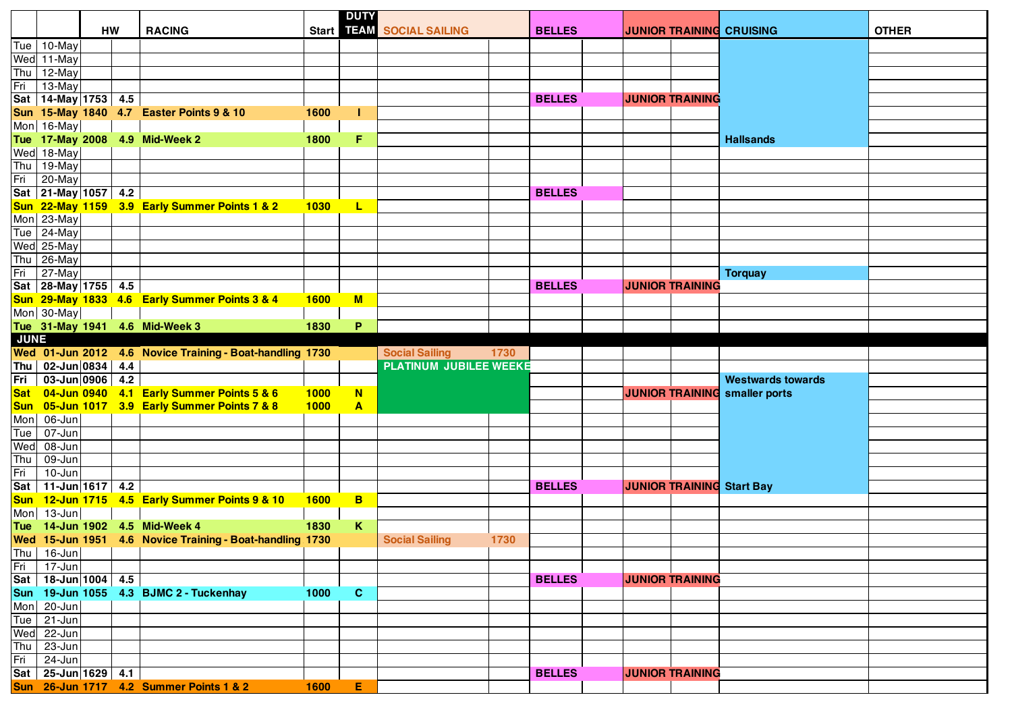|             | HW                      |  |                                                          |             | <b>DUTY</b>             | Start 11 FAM SOCIAL SAILING |      | <b>BELLES</b> |  | <b>JUNIOR TRAINING CRUISING</b> |                        |                                  |              |
|-------------|-------------------------|--|----------------------------------------------------------|-------------|-------------------------|-----------------------------|------|---------------|--|---------------------------------|------------------------|----------------------------------|--------------|
|             |                         |  | <b>RACING</b>                                            |             |                         |                             |      |               |  |                                 |                        |                                  | <b>OTHER</b> |
|             | Tue 10-May              |  |                                                          |             |                         |                             |      |               |  |                                 |                        |                                  |              |
|             | Wed 11-May              |  |                                                          |             |                         |                             |      |               |  |                                 |                        |                                  |              |
|             | Thu $12$ -May           |  |                                                          |             |                         |                             |      |               |  |                                 |                        |                                  |              |
| Fri         | 13-May                  |  |                                                          |             |                         |                             |      |               |  |                                 |                        |                                  |              |
|             | Sat 14-May 1753 4.5     |  |                                                          |             |                         |                             |      | <b>BELLES</b> |  |                                 | <b>JUNIOR TRAINING</b> |                                  |              |
|             |                         |  | Sun 15-May 1840 4.7 Easter Points 9 & 10                 | 1600        | ı                       |                             |      |               |  |                                 |                        |                                  |              |
|             | Mon 16-May              |  |                                                          |             |                         |                             |      |               |  |                                 |                        |                                  |              |
|             |                         |  | Tue 17-May 2008 4.9 Mid-Week 2                           | 1800        | F.                      |                             |      |               |  |                                 |                        | <b>Hallsands</b>                 |              |
|             | Wed 18-May              |  |                                                          |             |                         |                             |      |               |  |                                 |                        |                                  |              |
|             | Thu 19-May              |  |                                                          |             |                         |                             |      |               |  |                                 |                        |                                  |              |
| Fri         | 20-May                  |  |                                                          |             |                         |                             |      |               |  |                                 |                        |                                  |              |
|             | Sat 21-May 1057 4.2     |  |                                                          |             |                         |                             |      | <b>BELLES</b> |  |                                 |                        |                                  |              |
|             |                         |  | Sun 22-May 1159 3.9 Early Summer Points 1 & 2            | 1030        | L                       |                             |      |               |  |                                 |                        |                                  |              |
|             | Mon 23-May              |  |                                                          |             |                         |                             |      |               |  |                                 |                        |                                  |              |
|             | Tue $24$ -May           |  |                                                          |             |                         |                             |      |               |  |                                 |                        |                                  |              |
|             | Wed 25-May              |  |                                                          |             |                         |                             |      |               |  |                                 |                        |                                  |              |
|             | Thu 26-May              |  |                                                          |             |                         |                             |      |               |  |                                 |                        |                                  |              |
| Fri         | $27 - May$              |  |                                                          |             |                         |                             |      |               |  |                                 |                        | <b>Torquay</b>                   |              |
|             | Sat 28-May 1755 4.5     |  |                                                          |             |                         |                             |      | <b>BELLES</b> |  |                                 | <b>JUNIOR TRAINING</b> |                                  |              |
|             |                         |  | Sun 29-May 1833 4.6 Early Summer Points 3 & 4            | <b>1600</b> | M                       |                             |      |               |  |                                 |                        |                                  |              |
|             | Mon 30-May              |  |                                                          |             |                         |                             |      |               |  |                                 |                        |                                  |              |
|             |                         |  | Tue 31-May 1941 4.6 Mid-Week 3                           | 1830        | P                       |                             |      |               |  |                                 |                        |                                  |              |
| <b>JUNE</b> |                         |  |                                                          |             |                         |                             |      |               |  |                                 |                        |                                  |              |
|             |                         |  | Wed 01-Jun 2012 4.6 Novice Training - Boat-handling 1730 |             |                         | <b>Social Sailing</b>       | 1730 |               |  |                                 |                        |                                  |              |
|             | Thu 02-Jun 0834 4.4     |  |                                                          |             |                         | PLATINUM JUBILEE WEEKE      |      |               |  |                                 |                        |                                  |              |
| Fri         | 03-Jun 0906 4.2         |  |                                                          |             |                         |                             |      |               |  |                                 |                        | <b>Westwards towards</b>         |              |
|             |                         |  | Sat 04-Jun 0940 4.1 Early Summer Points 5 & 6            | 1000        | N                       |                             |      |               |  |                                 | <b>JUNIOR TRAINING</b> | smaller ports                    |              |
|             |                         |  | Sun 05-Jun 1017 3.9 Early Summer Points 7 & 8            | <b>1000</b> | $\blacktriangle$        |                             |      |               |  |                                 |                        |                                  |              |
|             | Mon 06-Jun              |  |                                                          |             |                         |                             |      |               |  |                                 |                        |                                  |              |
| Tue         | $07 - Jun$              |  |                                                          |             |                         |                             |      |               |  |                                 |                        |                                  |              |
| Wed         | 08-Jun                  |  |                                                          |             |                         |                             |      |               |  |                                 |                        |                                  |              |
| Thu         | 09-Jun                  |  |                                                          |             |                         |                             |      |               |  |                                 |                        |                                  |              |
| Fri         | 10-Jun                  |  |                                                          |             |                         |                             |      |               |  |                                 |                        |                                  |              |
|             | Sat   11-Jun 1617   4.2 |  |                                                          |             |                         |                             |      | <b>BELLES</b> |  |                                 |                        | <b>JUNIOR TRAINING Start Bay</b> |              |
|             |                         |  | Sun 12-Jun 1715 4.5 Early Summer Points 9 & 10           | <b>1600</b> | $\overline{\mathbf{B}}$ |                             |      |               |  |                                 |                        |                                  |              |
|             | Mon 13-Jun              |  |                                                          |             |                         |                             |      |               |  |                                 |                        |                                  |              |
|             |                         |  | Tue 14-Jun 1902 4.5 Mid-Week 4                           | 1830        | K                       |                             |      |               |  |                                 |                        |                                  |              |
|             |                         |  | Wed 15-Jun 1951 4.6 Novice Training - Boat-handling 1730 |             |                         | <b>Social Sailing</b>       | 1730 |               |  |                                 |                        |                                  |              |
|             | Thu $ 16$ -Jun          |  |                                                          |             |                         |                             |      |               |  |                                 |                        |                                  |              |
| Fri         | 17-Jun                  |  |                                                          |             |                         |                             |      |               |  |                                 |                        |                                  |              |
|             | Sat   18-Jun 1004   4.5 |  |                                                          |             |                         |                             |      | <b>BELLES</b> |  |                                 | <b>JUNIOR TRAINING</b> |                                  |              |
|             |                         |  | Sun 19-Jun 1055 4.3 BJMC 2 - Tuckenhay                   | 1000        | $\mathbf{C}$            |                             |      |               |  |                                 |                        |                                  |              |
|             | Mon 20-Jun              |  |                                                          |             |                         |                             |      |               |  |                                 |                        |                                  |              |
| Tue         | $21 - Jun$              |  |                                                          |             |                         |                             |      |               |  |                                 |                        |                                  |              |
|             | Wed 22-Jun              |  |                                                          |             |                         |                             |      |               |  |                                 |                        |                                  |              |
| Thu         | 23-Jun                  |  |                                                          |             |                         |                             |      |               |  |                                 |                        |                                  |              |
| Fri         | 24-Jun                  |  |                                                          |             |                         |                             |      |               |  |                                 |                        |                                  |              |
| Sat         | $25$ -Jun 1629 4.1      |  |                                                          |             |                         |                             |      | <b>BELLES</b> |  |                                 | <b>JUNIOR TRAINING</b> |                                  |              |
|             |                         |  | Sun 26-Jun 1717 4.2 Summer Points 1 & 2                  | 1600        | E.                      |                             |      |               |  |                                 |                        |                                  |              |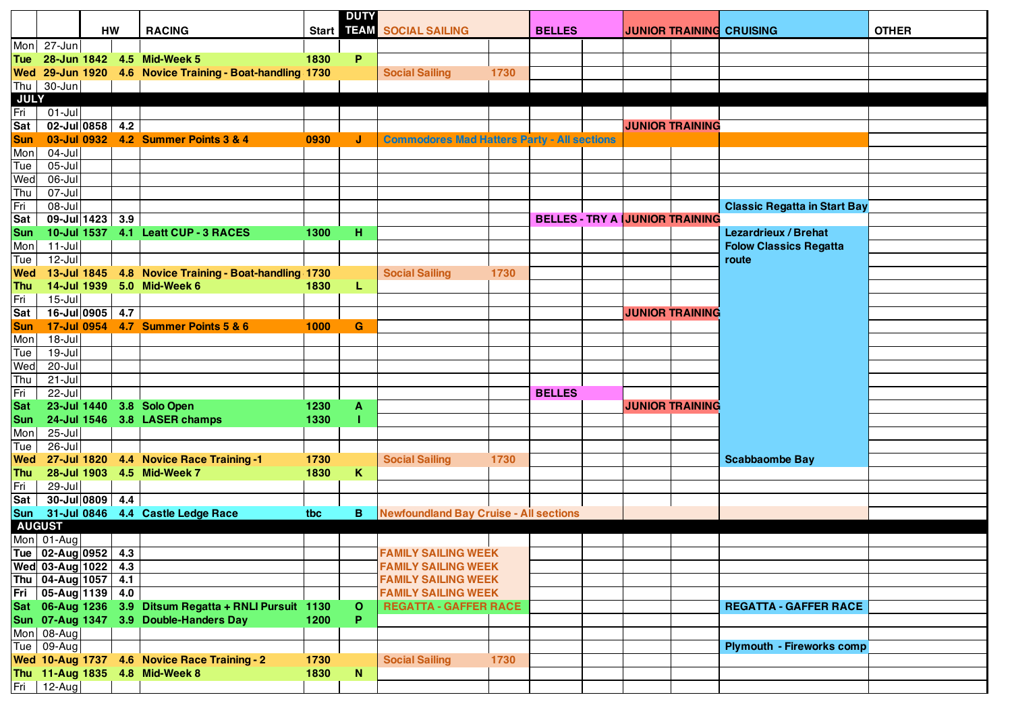|                   |                               | <b>HW</b> |  | <b>RACING</b>                                            |      | <b>DUTY</b>  | Start 11-AM SOCIAL SAILING                         |      | <b>BELLES</b>                         |  | <b>JUNIOR TRAINING CRUISING</b> |                        |                                     | <b>OTHER</b> |
|-------------------|-------------------------------|-----------|--|----------------------------------------------------------|------|--------------|----------------------------------------------------|------|---------------------------------------|--|---------------------------------|------------------------|-------------------------------------|--------------|
| Mon               | 27-Jun                        |           |  |                                                          |      |              |                                                    |      |                                       |  |                                 |                        |                                     |              |
|                   |                               |           |  | Tue 28-Jun 1842 4.5 Mid-Week 5                           | 1830 | P            |                                                    |      |                                       |  |                                 |                        |                                     |              |
|                   |                               |           |  | Wed 29-Jun 1920 4.6 Novice Training - Boat-handling 1730 |      |              | <b>Social Sailing</b>                              | 1730 |                                       |  |                                 |                        |                                     |              |
| Thu               | 30-Jun                        |           |  |                                                          |      |              |                                                    |      |                                       |  |                                 |                        |                                     |              |
| <b>JULY</b>       |                               |           |  |                                                          |      |              |                                                    |      |                                       |  |                                 |                        |                                     |              |
| Fri               | $01 -$ Jul                    |           |  |                                                          |      |              |                                                    |      |                                       |  |                                 |                        |                                     |              |
| Sat               | $02$ -Jul 0858 4.2            |           |  |                                                          |      |              |                                                    |      |                                       |  |                                 | <b>JUNIOR TRAINING</b> |                                     |              |
| <b>Sun</b>        |                               |           |  | 03-Jul 0932 4.2 Summer Points 3 & 4                      | 0930 | J            | <b>Commodores Mad Hatters Party - All sections</b> |      |                                       |  |                                 |                        |                                     |              |
| Mon               | $04-Jul$                      |           |  |                                                          |      |              |                                                    |      |                                       |  |                                 |                        |                                     |              |
| Tue               | $05 -$ Jul                    |           |  |                                                          |      |              |                                                    |      |                                       |  |                                 |                        |                                     |              |
| Wed               | 06-Jul                        |           |  |                                                          |      |              |                                                    |      |                                       |  |                                 |                        |                                     |              |
| Thu               | $07 -$ Jul                    |           |  |                                                          |      |              |                                                    |      |                                       |  |                                 |                        |                                     |              |
| Fri               | 08-Jul                        |           |  |                                                          |      |              |                                                    |      |                                       |  |                                 |                        | <b>Classic Regatta in Start Bay</b> |              |
| Sat               | $09$ -Jul 1423 3.9            |           |  |                                                          |      |              |                                                    |      | <b>BELLES - TRY A JUNIOR TRAINING</b> |  |                                 |                        | <b>Lezardrieux / Brehat</b>         |              |
| <b>Sun</b><br>Mon | $11 -$ Jul                    |           |  | 10-Jul 1537 4.1 Leatt CUP - 3 RACES                      | 1300 | н            |                                                    |      |                                       |  |                                 |                        | <b>Folow Classics Regatta</b>       |              |
| Tue               | $12$ -Jul                     |           |  |                                                          |      |              |                                                    |      |                                       |  |                                 |                        | route                               |              |
| <b>Wed</b>        |                               |           |  | 13-Jul 1845 4.8 Novice Training - Boat-handling 1730     |      |              | <b>Social Sailing</b>                              | 1730 |                                       |  |                                 |                        |                                     |              |
| <b>Thu</b>        |                               |           |  | 14-Jul 1939 5.0 Mid-Week 6                               | 1830 | L            |                                                    |      |                                       |  |                                 |                        |                                     |              |
| Fri               | $15 -$ Jul                    |           |  |                                                          |      |              |                                                    |      |                                       |  |                                 |                        |                                     |              |
| Sat               | 16-Jul 0905 4.7               |           |  |                                                          |      |              |                                                    |      |                                       |  |                                 | <b>JUNIOR TRAINING</b> |                                     |              |
| <b>Sun</b>        |                               |           |  | 17-Jul 0954 4.7 Summer Points 5 & 6                      | 1000 | G            |                                                    |      |                                       |  |                                 |                        |                                     |              |
| Mon               | 18-Jul                        |           |  |                                                          |      |              |                                                    |      |                                       |  |                                 |                        |                                     |              |
| Tue               | $19 -$ Jul                    |           |  |                                                          |      |              |                                                    |      |                                       |  |                                 |                        |                                     |              |
| Wed               | $20 -$ Jul                    |           |  |                                                          |      |              |                                                    |      |                                       |  |                                 |                        |                                     |              |
| Thu               | $21 -$ Jul                    |           |  |                                                          |      |              |                                                    |      |                                       |  |                                 |                        |                                     |              |
| Fri               | 22-Jul                        |           |  |                                                          |      |              |                                                    |      | <b>BELLES</b>                         |  |                                 |                        |                                     |              |
| <b>Sat</b>        |                               |           |  | 23-Jul 1440 3.8 Solo Open                                | 1230 | A            |                                                    |      |                                       |  |                                 | <b>JUNIOR TRAINING</b> |                                     |              |
| <b>Sun</b>        |                               |           |  | 24-Jul 1546 3.8 LASER champs                             | 1330 |              |                                                    |      |                                       |  |                                 |                        |                                     |              |
| Mon               | $25 -$ Jul                    |           |  |                                                          |      |              |                                                    |      |                                       |  |                                 |                        |                                     |              |
| Tue               | 26-Jul                        |           |  |                                                          |      |              |                                                    |      |                                       |  |                                 |                        |                                     |              |
| <b>Wed</b>        |                               |           |  | 27-Jul 1820 4.4 Novice Race Training -1                  | 1730 |              | <b>Social Sailing</b>                              | 1730 |                                       |  |                                 |                        | <b>Scabbaombe Bay</b>               |              |
| Thu               |                               |           |  | 28-Jul 1903 4.5 Mid-Week 7                               | 1830 | Κ            |                                                    |      |                                       |  |                                 |                        |                                     |              |
| Fri               | 29-Jul<br>$30 -$ Jul 0809 4.4 |           |  |                                                          |      |              |                                                    |      |                                       |  |                                 |                        |                                     |              |
| Sat               |                               |           |  | 31-Jul 0846 4.4 Castle Ledge Race                        | tbc  | в            |                                                    |      |                                       |  |                                 |                        |                                     |              |
| <b>Sun</b>        | <b>AUGUST</b>                 |           |  |                                                          |      |              | <b>Newfoundland Bay Cruise - All sections</b>      |      |                                       |  |                                 |                        |                                     |              |
|                   | Mon 01-Aug                    |           |  |                                                          |      |              |                                                    |      |                                       |  |                                 |                        |                                     |              |
|                   | Tue   02-Aug   0952   4.3     |           |  |                                                          |      |              | <b>FAMILY SAILING WEEK</b>                         |      |                                       |  |                                 |                        |                                     |              |
|                   | Wed 03-Aug 1022 4.3           |           |  |                                                          |      |              | <b>FAMILY SAILING WEEK</b>                         |      |                                       |  |                                 |                        |                                     |              |
|                   | Thu   04-Aug 1057   4.1       |           |  |                                                          |      |              | <b>FAMILY SAILING WEEK</b>                         |      |                                       |  |                                 |                        |                                     |              |
|                   | Fri 05-Aug 1139 4.0           |           |  |                                                          |      |              | <b>FAMILY SAILING WEEK</b>                         |      |                                       |  |                                 |                        |                                     |              |
|                   |                               |           |  | Sat 06-Aug 1236 3.9 Ditsum Regatta + RNLI Pursuit 1130   |      | $\mathbf{o}$ | <b>REGATTA - GAFFER RACE</b>                       |      |                                       |  |                                 |                        | <b>REGATTA - GAFFER RACE</b>        |              |
|                   |                               |           |  | Sun 07-Aug 1347 3.9 Double-Handers Day                   | 1200 | P.           |                                                    |      |                                       |  |                                 |                        |                                     |              |
|                   | Mon 08-Aug                    |           |  |                                                          |      |              |                                                    |      |                                       |  |                                 |                        |                                     |              |
|                   | Tue 09-Aug                    |           |  |                                                          |      |              |                                                    |      |                                       |  |                                 |                        | <b>Plymouth - Fireworks comp</b>    |              |
|                   |                               |           |  | Wed 10-Aug 1737 4.6 Novice Race Training - 2             | 1730 |              | <b>Social Sailing</b>                              | 1730 |                                       |  |                                 |                        |                                     |              |
|                   |                               |           |  | Thu 11-Aug 1835 4.8 Mid-Week 8                           | 1830 | ${\bf N}$    |                                                    |      |                                       |  |                                 |                        |                                     |              |
|                   | $Fig 12-Aug$                  |           |  |                                                          |      |              |                                                    |      |                                       |  |                                 |                        |                                     |              |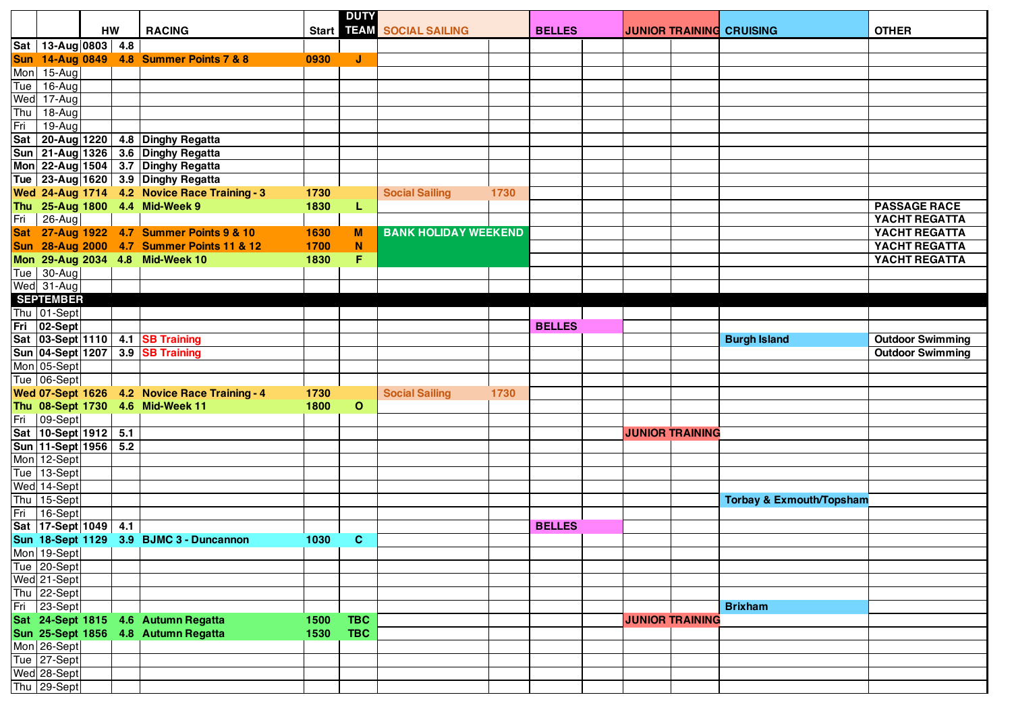|     |                         |    |                                               |                          | <b>DUTY</b>  |                             |      |               |  |  |                        |                                     |                         |
|-----|-------------------------|----|-----------------------------------------------|--------------------------|--------------|-----------------------------|------|---------------|--|--|------------------------|-------------------------------------|-------------------------|
|     |                         | HW | <b>RACING</b>                                 |                          |              | Start 117 SOCIAL SAILING    |      | <b>BELLES</b> |  |  |                        | <b>JUNIOR TRAINING CRUISING</b>     | <b>OTHER</b>            |
|     | Sat   13-Aug 0803   4.8 |    |                                               |                          |              |                             |      |               |  |  |                        |                                     |                         |
|     |                         |    | Sun 14-Aug 0849 4.8 Summer Points 7 & 8       | 0930                     | J            |                             |      |               |  |  |                        |                                     |                         |
|     | Mon 15-Aug              |    |                                               |                          |              |                             |      |               |  |  |                        |                                     |                         |
| Tue | 16-Aug                  |    |                                               |                          |              |                             |      |               |  |  |                        |                                     |                         |
| Wed | 17-Aug                  |    |                                               |                          |              |                             |      |               |  |  |                        |                                     |                         |
| Thu | $\overline{18}$ -Augl   |    |                                               |                          |              |                             |      |               |  |  |                        |                                     |                         |
| Fri | $19-Aug$                |    |                                               |                          |              |                             |      |               |  |  |                        |                                     |                         |
|     |                         |    | Sat 20-Aug 1220 4.8 Dinghy Regatta            |                          |              |                             |      |               |  |  |                        |                                     |                         |
|     |                         |    | Sun 21-Aug 1326 3.6 Dinghy Regatta            |                          |              |                             |      |               |  |  |                        |                                     |                         |
|     |                         |    | Mon 22-Aug 1504 3.7 Dinghy Regatta            |                          |              |                             |      |               |  |  |                        |                                     |                         |
|     |                         |    | Tue 23-Aug 1620 3.9 Dinghy Regatta            |                          |              |                             |      |               |  |  |                        |                                     |                         |
|     |                         |    | Wed 24-Aug 1714 4.2 Novice Race Training - 3  | 1730                     |              | <b>Social Sailing</b>       | 1730 |               |  |  |                        |                                     |                         |
|     |                         |    | Thu 25-Aug 1800 4.4 Mid-Week 9                | 1830                     | L            |                             |      |               |  |  |                        |                                     | <b>PASSAGE RACE</b>     |
|     | Fri   26-Aug            |    |                                               |                          |              |                             |      |               |  |  |                        |                                     | YACHT REGATTA           |
|     |                         |    | Sat 27-Aug 1922 4.7 Summer Points 9 & 10      | 1630                     | M            | <b>BANK HOLIDAY WEEKEND</b> |      |               |  |  |                        |                                     | YACHT REGATTA           |
|     |                         |    | Sun 28-Aug 2000 4.7 Summer Points 11 & 12     | 1700                     | ${\bf N}$    |                             |      |               |  |  |                        |                                     | YACHT REGATTA           |
|     |                         |    | Mon 29-Aug 2034 4.8 Mid-Week 10               | 1830                     | F.           |                             |      |               |  |  |                        |                                     | YACHT REGATTA           |
|     | Tue   30-Aug            |    |                                               |                          |              |                             |      |               |  |  |                        |                                     |                         |
|     | Wed 31-Aug              |    |                                               |                          |              |                             |      |               |  |  |                        |                                     |                         |
|     | <b>SEPTEMBER</b>        |    |                                               |                          |              |                             |      |               |  |  |                        |                                     |                         |
|     | Thu 01-Sept             |    |                                               |                          |              |                             |      |               |  |  |                        |                                     |                         |
|     | Fri 02-Sept             |    |                                               |                          |              |                             |      | <b>BELLES</b> |  |  |                        |                                     |                         |
|     |                         |    | Sat 03-Sept 1110 4.1 SB Training              |                          |              |                             |      |               |  |  |                        | <b>Burgh Island</b>                 | <b>Outdoor Swimming</b> |
|     |                         |    | Sun 04-Sept 1207 3.9 SB Training              |                          |              |                             |      |               |  |  |                        |                                     | <b>Outdoor Swimming</b> |
|     | Mon 05-Sept             |    |                                               |                          |              |                             |      |               |  |  |                        |                                     |                         |
|     | Tue 06-Sept             |    |                                               |                          |              |                             |      |               |  |  |                        |                                     |                         |
|     |                         |    | Wed 07-Sept 1626 4.2 Novice Race Training - 4 | 1730                     |              | <b>Social Sailing</b>       | 1730 |               |  |  |                        |                                     |                         |
|     |                         |    | Thu 08-Sept 1730 4.6 Mid-Week 11              | 1800                     | $\mathbf{o}$ |                             |      |               |  |  |                        |                                     |                         |
|     | Fri   09-Sept           |    |                                               |                          |              |                             |      |               |  |  |                        |                                     |                         |
|     | Sat 10-Sept 1912 5.1    |    |                                               |                          |              |                             |      |               |  |  | <b>JUNIOR TRAINING</b> |                                     |                         |
|     | Sun 11-Sept 1956 5.2    |    |                                               |                          |              |                             |      |               |  |  |                        |                                     |                         |
|     | Mon 12-Sept             |    |                                               |                          |              |                             |      |               |  |  |                        |                                     |                         |
|     | Tue 13-Sept             |    |                                               |                          |              |                             |      |               |  |  |                        |                                     |                         |
|     | Wed 14-Sept             |    |                                               |                          |              |                             |      |               |  |  |                        |                                     |                         |
|     | Thu 15-Sept             |    |                                               |                          |              |                             |      |               |  |  |                        | <b>Torbay &amp; Exmouth/Topsham</b> |                         |
| Fri | 16-Sept                 |    |                                               |                          |              |                             |      |               |  |  |                        |                                     |                         |
|     | Sat 17-Sept 1049 4.1    |    |                                               |                          |              |                             |      | <b>BELLES</b> |  |  |                        |                                     |                         |
|     |                         |    | Sun 18-Sept 1129 3.9 BJMC 3 - Duncannon       | 1030                     | $\mathbf{C}$ |                             |      |               |  |  |                        |                                     |                         |
|     | Mon 19-Sept             |    |                                               | <b>Contract Contract</b> |              |                             |      |               |  |  |                        |                                     |                         |
|     | Tue 20-Sept             |    |                                               |                          |              |                             |      |               |  |  |                        |                                     |                         |
|     | Wed 21-Sept             |    |                                               |                          |              |                             |      |               |  |  |                        |                                     |                         |
|     | Thu 22-Sept             |    |                                               |                          |              |                             |      |               |  |  |                        |                                     |                         |
| Fri | $ 23-Sept $             |    |                                               |                          |              |                             |      |               |  |  |                        | <b>Brixham</b>                      |                         |
|     | Sat 24-Sept 1815        |    | 4.6 Autumn Regatta                            | 1500                     | <b>TBC</b>   |                             |      |               |  |  | <b>JUNIOR TRAINING</b> |                                     |                         |
|     | <b>Sun 25-Sept 1856</b> |    | 4.8 Autumn Regatta                            | 1530                     | <b>TBC</b>   |                             |      |               |  |  |                        |                                     |                         |
|     | Mon 26-Sept             |    |                                               |                          |              |                             |      |               |  |  |                        |                                     |                         |
|     | Tue 27-Sept             |    |                                               |                          |              |                             |      |               |  |  |                        |                                     |                         |
|     | Wed 28-Sept             |    |                                               |                          |              |                             |      |               |  |  |                        |                                     |                         |
|     | Thu 29-Sept             |    |                                               |                          |              |                             |      |               |  |  |                        |                                     |                         |
|     |                         |    |                                               |                          |              |                             |      |               |  |  |                        |                                     |                         |